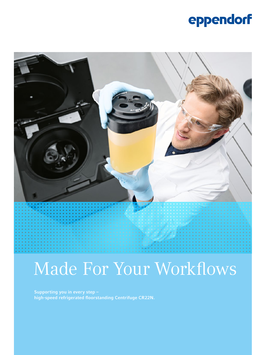## eppendorf



# Made For Your Workflows

Supporting you in every step – high-speed refrigerated floorstanding Centrifuge CR22N.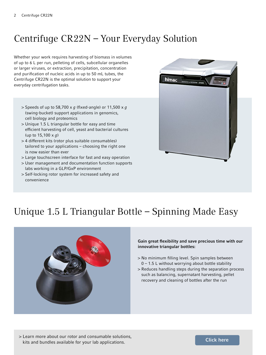### Centrifuge CR22N – Your Everyday Solution

Whether your work requires harvesting of biomass in volumes of up to 6 L per run, pelleting of cells, subcellular organelles or larger viruses, or extraction, precipitation, concentration and purification of nucleic acids in up to 50 mL tubes, the Centrifuge CR22N is the optimal solution to support your everyday centrifugation tasks.

- > Speeds of up to 58,700 x *g* (fixed-angle) or 11,500 x *g* (swing-bucket) support applications in genomics, cell biology and proteomics
- > Unique 1.5 L triangular bottle for easy and time efficient harvesting of cell, yeast and bacterial cultures (up to 15,100 x *g*)
- > 4 different kits (rotor plus suitable consumables) tailored to your applications – choosing the right one is now easier than ever
- > Large touchscreen interface for fast and easy operation
- > User management and documentation function supports labs working in a GLP/GxP environment
- > Self-locking rotor system for increased safety and convenience



### Unique 1.5 L Triangular Bottle – Spinning Made Easy



#### Gain great flexibility and save precious time with our innovative triangular bottles:

- > No minimum filling level. Spin samples between  $0 - 1.5$  L without worrying about bottle stability
- > Reduces handling steps during the separation process such as balancing, supernatant harvesting, pellet recovery and cleaning of bottles after the run

> Learn more about our rotor and consumable solutions, kits and bundles available for your lab applications.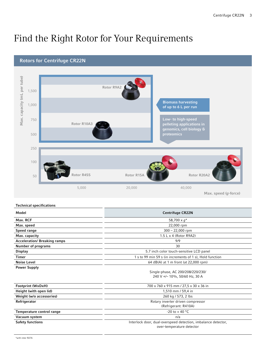### Find the Right Rotor for Your Requirements



Technical specifications

| Model                               | <b>Centrifuge CR22N</b>                                       |
|-------------------------------------|---------------------------------------------------------------|
| Max. RCF                            | 58,700 $\times$ $q^*$                                         |
| Max. speed                          | 22,000 rpm                                                    |
| Speed range                         | $300 - 22,000$ rpm                                            |
| Max. capacity                       | 1.5 L x 4 (Rotor R9A2)                                        |
| <b>Acceleration/ Breaking ramps</b> | 9/9                                                           |
| <b>Number of programs</b>           | 30                                                            |
| <b>Display</b>                      | 5.7 inch color touch-sensitive LCD panel                      |
| Timer                               | 1 s to 99 min 59 s (in increments of 1 s), Hold function      |
| <b>Noise Level</b>                  | 64 dB(A) at 1 m front (at 22,000 rpm)                         |
| <b>Power Supply</b>                 |                                                               |
|                                     | Single-phase, AC 200/208/220/230/                             |
|                                     | 240 V +/- 10%, 50/60 Hz, 30 A                                 |
| Footprint (WxDxH)                   | 700 x 760 x 915 mm / 27,5 x 30 x 36 in                        |
| Height (with open lid)              | 1,510 mm / 59,4 in                                            |
| Weight (w/o accessories)            | 260 kg / 573, 2 lbs                                           |
| Refrigerator                        | Rotary inverter driven compressor                             |
|                                     | (Refrigerant: R410A)                                          |
| Temperature control range           | $-20$ to $+40$ °C                                             |
| Vacuum system                       | n/a                                                           |
| <b>Safety functions</b>             | Interlock door, dual-overspeed detection, imbalance detector, |
|                                     | over-temperature detector                                     |
|                                     |                                                               |